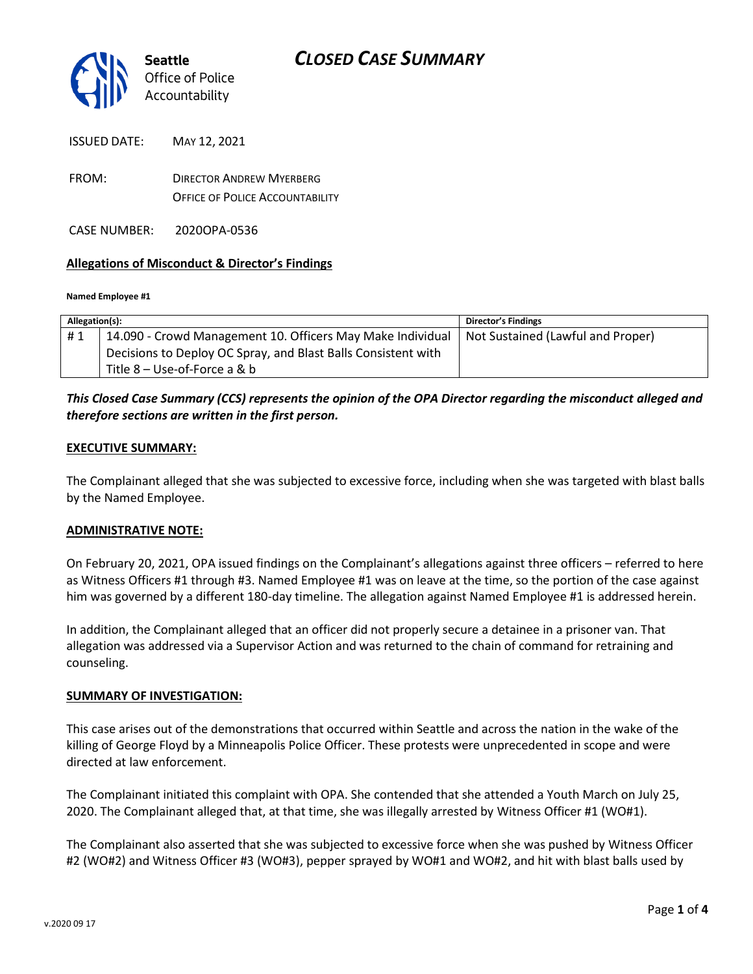

ISSUED DATE: MAY 12, 2021

FROM: DIRECTOR ANDREW MYERBERG OFFICE OF POLICE ACCOUNTABILITY

CASE NUMBER: 2020OPA-0536

### **Allegations of Misconduct & Director's Findings**

#### **Named Employee #1**

| Allegation(s): |                                                               | <b>Director's Findings</b>        |
|----------------|---------------------------------------------------------------|-----------------------------------|
| #1             | 14.090 - Crowd Management 10. Officers May Make Individual    | Not Sustained (Lawful and Proper) |
|                | Decisions to Deploy OC Spray, and Blast Balls Consistent with |                                   |
|                | Title $8 -$ Use-of-Force a & b                                |                                   |

### *This Closed Case Summary (CCS) represents the opinion of the OPA Director regarding the misconduct alleged and therefore sections are written in the first person.*

#### **EXECUTIVE SUMMARY:**

The Complainant alleged that she was subjected to excessive force, including when she was targeted with blast balls by the Named Employee.

### **ADMINISTRATIVE NOTE:**

On February 20, 2021, OPA issued findings on the Complainant's allegations against three officers – referred to here as Witness Officers #1 through #3. Named Employee #1 was on leave at the time, so the portion of the case against him was governed by a different 180-day timeline. The allegation against Named Employee #1 is addressed herein.

In addition, the Complainant alleged that an officer did not properly secure a detainee in a prisoner van. That allegation was addressed via a Supervisor Action and was returned to the chain of command for retraining and counseling.

### **SUMMARY OF INVESTIGATION:**

This case arises out of the demonstrations that occurred within Seattle and across the nation in the wake of the killing of George Floyd by a Minneapolis Police Officer. These protests were unprecedented in scope and were directed at law enforcement.

The Complainant initiated this complaint with OPA. She contended that she attended a Youth March on July 25, 2020. The Complainant alleged that, at that time, she was illegally arrested by Witness Officer #1 (WO#1).

The Complainant also asserted that she was subjected to excessive force when she was pushed by Witness Officer #2 (WO#2) and Witness Officer #3 (WO#3), pepper sprayed by WO#1 and WO#2, and hit with blast balls used by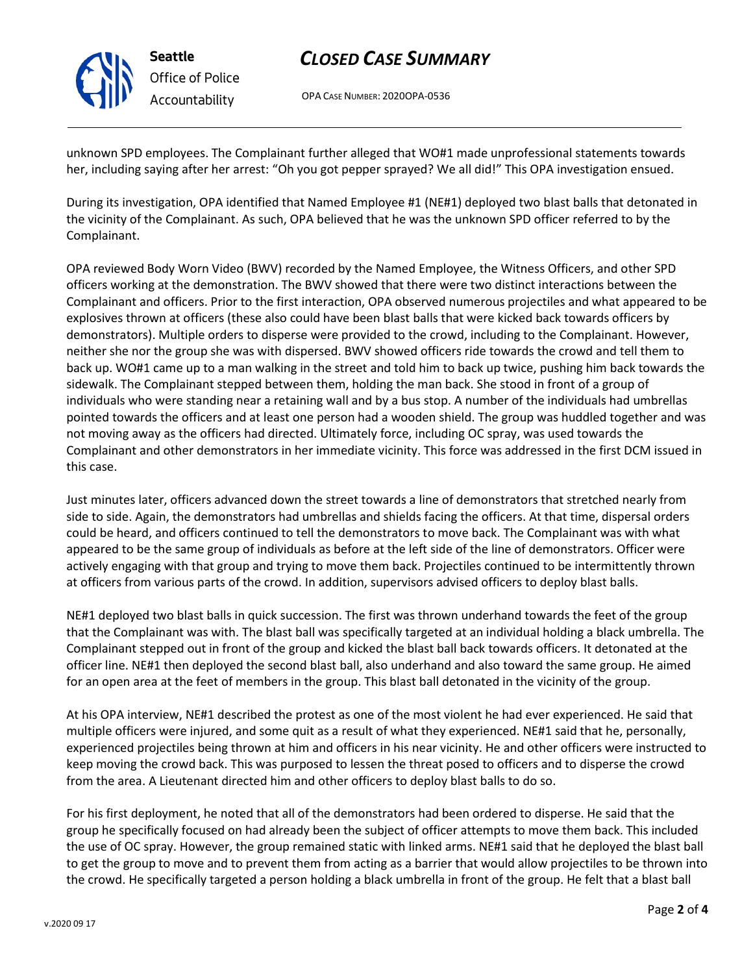

### **Seattle** *Office of Police Accountability*

## *CLOSED CASE SUMMARY*

OPA CASE NUMBER: 2020OPA-0536

unknown SPD employees. The Complainant further alleged that WO#1 made unprofessional statements towards her, including saying after her arrest: "Oh you got pepper sprayed? We all did!" This OPA investigation ensued.

During its investigation, OPA identified that Named Employee #1 (NE#1) deployed two blast balls that detonated in the vicinity of the Complainant. As such, OPA believed that he was the unknown SPD officer referred to by the Complainant.

OPA reviewed Body Worn Video (BWV) recorded by the Named Employee, the Witness Officers, and other SPD officers working at the demonstration. The BWV showed that there were two distinct interactions between the Complainant and officers. Prior to the first interaction, OPA observed numerous projectiles and what appeared to be explosives thrown at officers (these also could have been blast balls that were kicked back towards officers by demonstrators). Multiple orders to disperse were provided to the crowd, including to the Complainant. However, neither she nor the group she was with dispersed. BWV showed officers ride towards the crowd and tell them to back up. WO#1 came up to a man walking in the street and told him to back up twice, pushing him back towards the sidewalk. The Complainant stepped between them, holding the man back. She stood in front of a group of individuals who were standing near a retaining wall and by a bus stop. A number of the individuals had umbrellas pointed towards the officers and at least one person had a wooden shield. The group was huddled together and was not moving away as the officers had directed. Ultimately force, including OC spray, was used towards the Complainant and other demonstrators in her immediate vicinity. This force was addressed in the first DCM issued in this case.

Just minutes later, officers advanced down the street towards a line of demonstrators that stretched nearly from side to side. Again, the demonstrators had umbrellas and shields facing the officers. At that time, dispersal orders could be heard, and officers continued to tell the demonstrators to move back. The Complainant was with what appeared to be the same group of individuals as before at the left side of the line of demonstrators. Officer were actively engaging with that group and trying to move them back. Projectiles continued to be intermittently thrown at officers from various parts of the crowd. In addition, supervisors advised officers to deploy blast balls.

NE#1 deployed two blast balls in quick succession. The first was thrown underhand towards the feet of the group that the Complainant was with. The blast ball was specifically targeted at an individual holding a black umbrella. The Complainant stepped out in front of the group and kicked the blast ball back towards officers. It detonated at the officer line. NE#1 then deployed the second blast ball, also underhand and also toward the same group. He aimed for an open area at the feet of members in the group. This blast ball detonated in the vicinity of the group.

At his OPA interview, NE#1 described the protest as one of the most violent he had ever experienced. He said that multiple officers were injured, and some quit as a result of what they experienced. NE#1 said that he, personally, experienced projectiles being thrown at him and officers in his near vicinity. He and other officers were instructed to keep moving the crowd back. This was purposed to lessen the threat posed to officers and to disperse the crowd from the area. A Lieutenant directed him and other officers to deploy blast balls to do so.

For his first deployment, he noted that all of the demonstrators had been ordered to disperse. He said that the group he specifically focused on had already been the subject of officer attempts to move them back. This included the use of OC spray. However, the group remained static with linked arms. NE#1 said that he deployed the blast ball to get the group to move and to prevent them from acting as a barrier that would allow projectiles to be thrown into the crowd. He specifically targeted a person holding a black umbrella in front of the group. He felt that a blast ball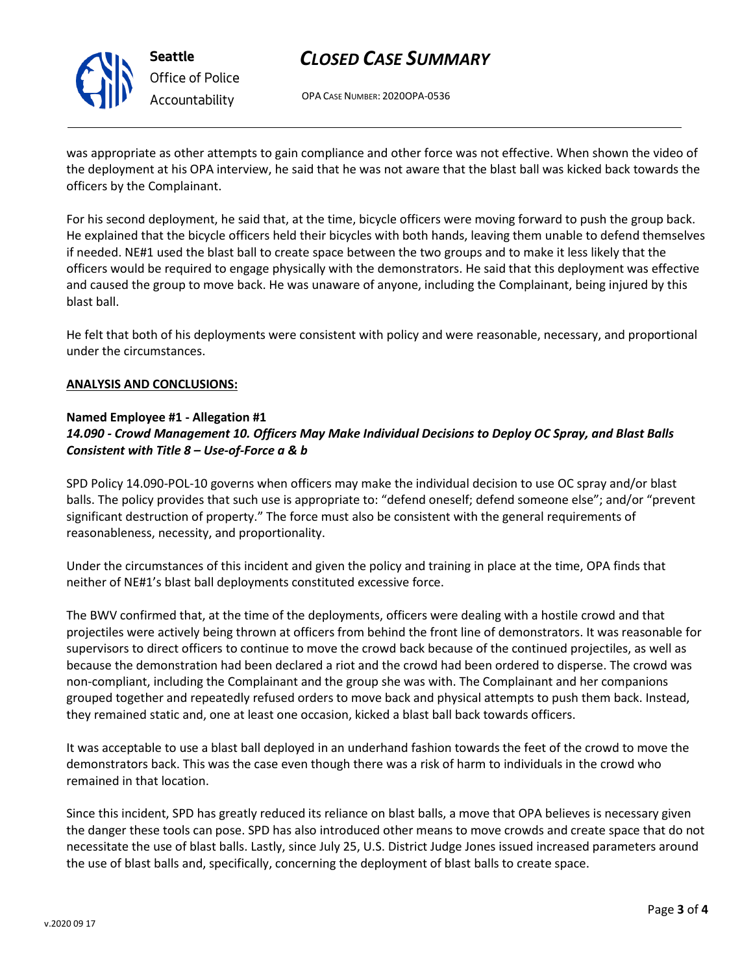

**Seattle** *Office of Police Accountability*

## *CLOSED CASE SUMMARY*

OPA CASE NUMBER: 2020OPA-0536

was appropriate as other attempts to gain compliance and other force was not effective. When shown the video of the deployment at his OPA interview, he said that he was not aware that the blast ball was kicked back towards the officers by the Complainant.

For his second deployment, he said that, at the time, bicycle officers were moving forward to push the group back. He explained that the bicycle officers held their bicycles with both hands, leaving them unable to defend themselves if needed. NE#1 used the blast ball to create space between the two groups and to make it less likely that the officers would be required to engage physically with the demonstrators. He said that this deployment was effective and caused the group to move back. He was unaware of anyone, including the Complainant, being injured by this blast ball.

He felt that both of his deployments were consistent with policy and were reasonable, necessary, and proportional under the circumstances.

### **ANALYSIS AND CONCLUSIONS:**

### **Named Employee #1 - Allegation #1**

### *14.090 - Crowd Management 10. Officers May Make Individual Decisions to Deploy OC Spray, and Blast Balls Consistent with Title 8 – Use-of-Force a & b*

SPD Policy 14.090-POL-10 governs when officers may make the individual decision to use OC spray and/or blast balls. The policy provides that such use is appropriate to: "defend oneself; defend someone else"; and/or "prevent significant destruction of property." The force must also be consistent with the general requirements of reasonableness, necessity, and proportionality.

Under the circumstances of this incident and given the policy and training in place at the time, OPA finds that neither of NE#1's blast ball deployments constituted excessive force.

The BWV confirmed that, at the time of the deployments, officers were dealing with a hostile crowd and that projectiles were actively being thrown at officers from behind the front line of demonstrators. It was reasonable for supervisors to direct officers to continue to move the crowd back because of the continued projectiles, as well as because the demonstration had been declared a riot and the crowd had been ordered to disperse. The crowd was non-compliant, including the Complainant and the group she was with. The Complainant and her companions grouped together and repeatedly refused orders to move back and physical attempts to push them back. Instead, they remained static and, one at least one occasion, kicked a blast ball back towards officers.

It was acceptable to use a blast ball deployed in an underhand fashion towards the feet of the crowd to move the demonstrators back. This was the case even though there was a risk of harm to individuals in the crowd who remained in that location.

Since this incident, SPD has greatly reduced its reliance on blast balls, a move that OPA believes is necessary given the danger these tools can pose. SPD has also introduced other means to move crowds and create space that do not necessitate the use of blast balls. Lastly, since July 25, U.S. District Judge Jones issued increased parameters around the use of blast balls and, specifically, concerning the deployment of blast balls to create space.